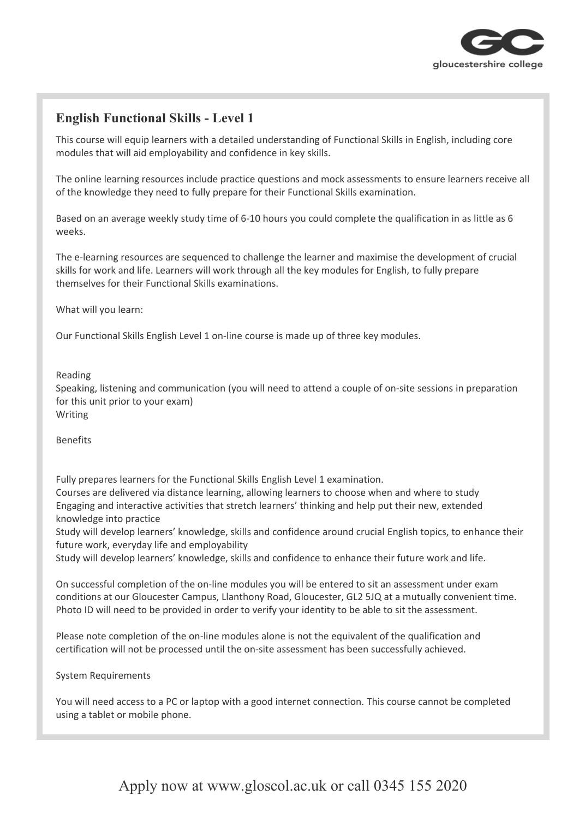

## **English Functional Skills - Level 1**

This course will equip learners with a detailed understanding of Functional Skills in English, including core modules that will aid employability and confidence in key skills.

The online learning resources include practice questions and mock assessments to ensure learners receive all of the knowledge they need to fully prepare for their Functional Skills examination.

Based on an average weekly study time of 6-10 hours you could complete the qualification in as little as 6 weeks.

The e-learning resources are sequenced to challenge the learner and maximise the development of crucial skills for work and life. Learners will work through all the key modules for English, to fully prepare themselves for their Functional Skills examinations.

What will you learn:

Our Functional Skills English Level 1 on-line course is made up of three key modules.

## Reading

Speaking, listening and communication (you will need to attend a couple of on-site sessions in preparation for this unit prior to your exam) Writing

Benefits

Fully prepares learners for the Functional Skills English Level 1 examination. Courses are delivered via distance learning, allowing learners to choose when and where to study Engaging and interactive activities that stretch learners' thinking and help put their new, extended knowledge into practice

Study will develop learners' knowledge, skills and confidence around crucial English topics, to enhance their future work, everyday life and employability

Study will develop learners' knowledge, skills and confidence to enhance their future work and life.

On successful completion of the on-line modules you will be entered to sit an assessment under exam conditions at our Gloucester Campus, Llanthony Road, Gloucester, GL2 5JQ at a mutually convenient time. Photo ID will need to be provided in order to verify your identity to be able to sit the assessment.

Please note completion of the on-line modules alone is not the equivalent of the qualification and certification will not be processed until the on-site assessment has been successfully achieved.

System Requirements

You will need access to a PC or laptop with a good internet connection. This course cannot be completed using a tablet or mobile phone.